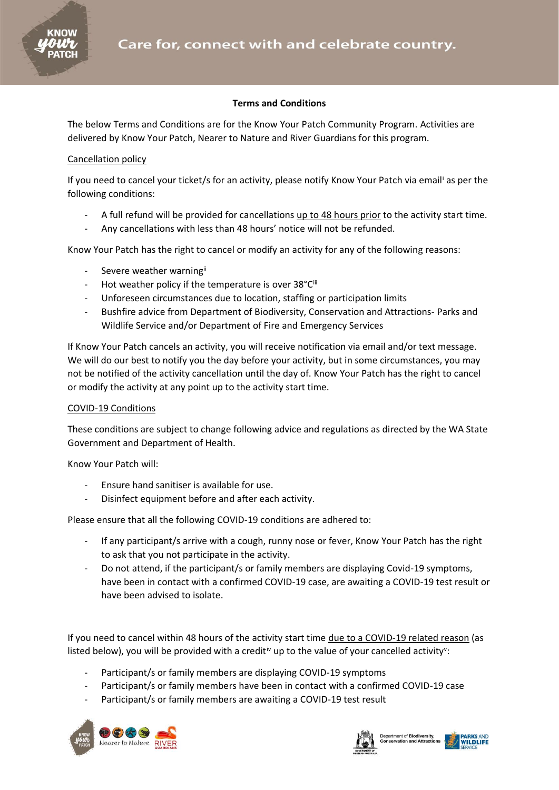

## **Terms and Conditions**

The below Terms and Conditions are for the Know Your Patch Community Program. Activities are delivered by Know Your Patch, Nearer to Nature and River Guardians for this program.

## Cancellation policy

If you need to cancel your ticket/s for an activity, please notify Know Your Patch via email<sup>i</sup> as per the following conditions:

- A full refund will be provided for cancellations up to 48 hours prior to the activity start time.
- Any cancellations with less than 48 hours' notice will not be refunded.

Know Your Patch has the right to cancel or modify an activity for any of the following reasons:

- Severe weather warningii
- Hot weather policy if the temperature is over 38°Ciii
- Unforeseen circumstances due to location, staffing or participation limits
- Bushfire advice from Department of Biodiversity, Conservation and Attractions- Parks and Wildlife Service and/or Department of Fire and Emergency Services

If Know Your Patch cancels an activity, you will receive notification via email and/or text message. We will do our best to notify you the day before your activity, but in some circumstances, you may not be notified of the activity cancellation until the day of. Know Your Patch has the right to cancel or modify the activity at any point up to the activity start time.

## COVID-19 Conditions

These conditions are subject to change following advice and regulations as directed by the WA State Government and Department of Health.

Know Your Patch will:

- Ensure hand sanitiser is available for use.
- Disinfect equipment before and after each activity.

Please ensure that all the following COVID-19 conditions are adhered to:

- If any participant/s arrive with a cough, runny nose or fever, Know Your Patch has the right to ask that you not participate in the activity.
- Do not attend, if the participant/s or family members are displaying Covid-19 symptoms, have been in contact with a confirmed COVID-19 case, are awaiting a COVID-19 test result or have been advised to isolate.

If you need to cancel within 48 hours of the activity start time due to a COVID-19 related reason (as listed below), you will be provided with a credit<sup>iv</sup> up to the value of your cancelled activity<sup>v</sup>:

- Participant/s or family members are displaying COVID-19 symptoms
- Participant/s or family members have been in contact with a confirmed COVID-19 case
- Participant/s or family members are awaiting a COVID-19 test result